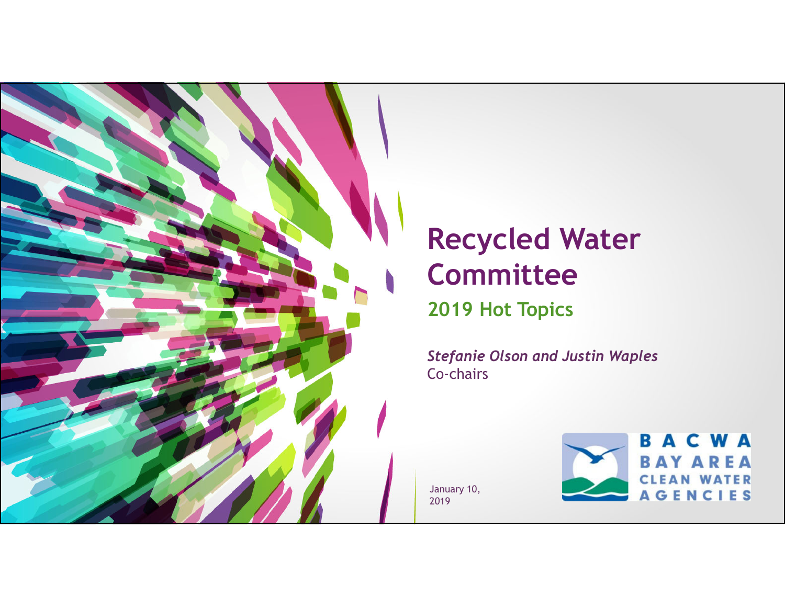

## **Recycled Water Committee 2019 Hot Topics**

*Stefanie Olson and Justin Waples*  Co-chairs

January 10, 2019

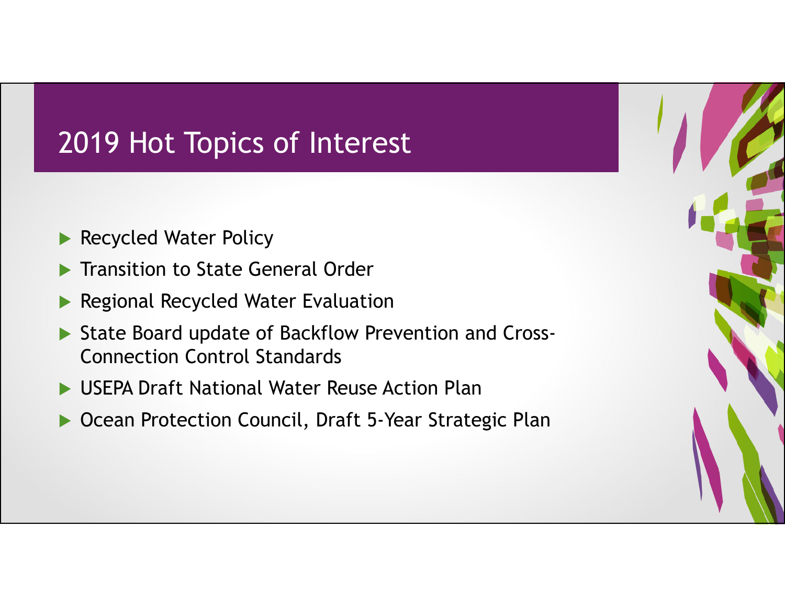# 2019 Hot Topics of Interest

- **Recycled Water Policy**
- $\blacktriangleright$ Transition to State General Order
- $\blacktriangleright$ Regional Recycled Water Evaluation
- $\blacktriangleright$  State Board update of Backflow Prevention and Cross-Connection Control Standards
- $\blacktriangleright$ USEPA Draft National Water Reuse Action Plan
- $\blacktriangleright$ Ocean Protection Council, Draft 5-Year Strategic Plan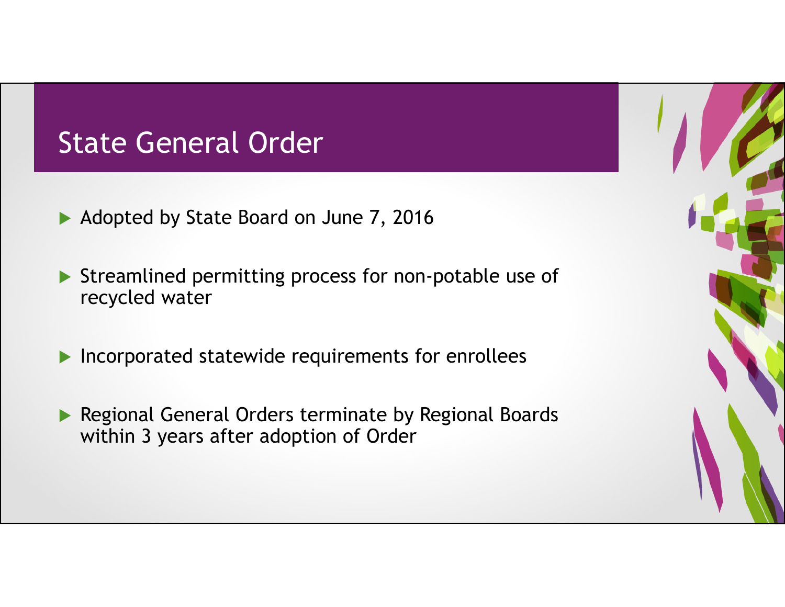## State General Order

- Adopted by State Board on June 7, 2016
- Streamlined permitting process for non-potable use of recycled water
- **Incorporated statewide requirements for enrollees**
- **Regional General Orders terminate by Regional Boards** within 3 years after adoption of Order

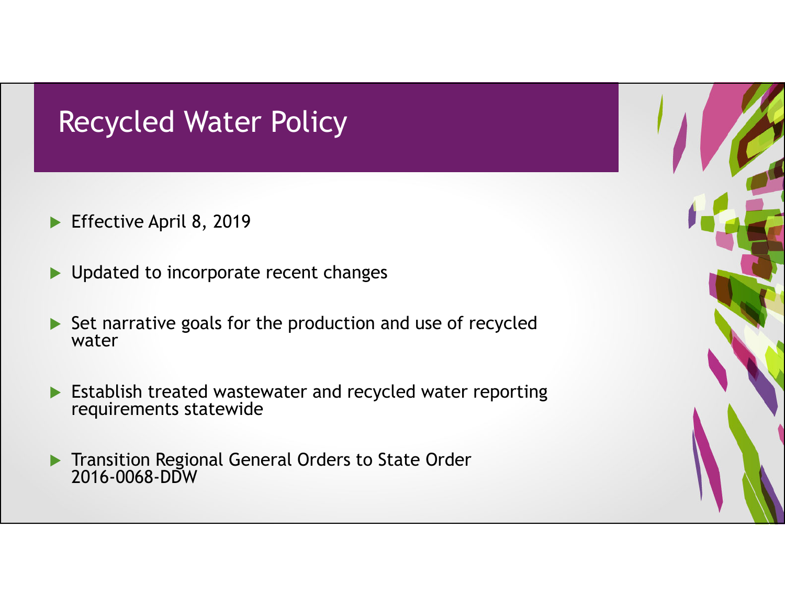## Recycled Water Policy

- ▶ Effective April 8, 2019
- $\blacktriangleright$ Updated to incorporate recent changes
- Set narrative goals for the production and use of recycled water
- **Establish treated wastewater and recycled water reporting** requirements statewide
- **Transition Regional General Orders to State Order** 2016-0068-DDW

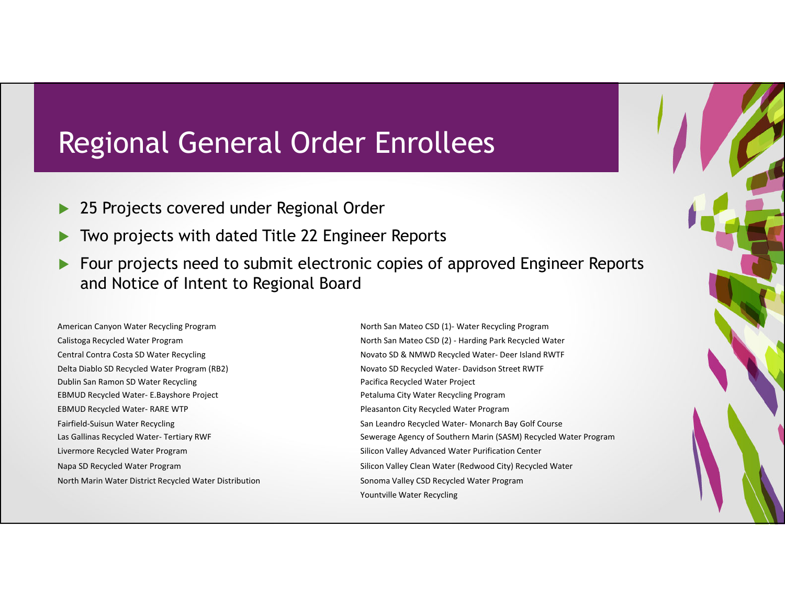### Regional General Order Enrollees

- $\blacktriangleright$ 25 Projects covered under Regional Order
- $\blacktriangleright$ Two projects with dated Title 22 Engineer Reports
- $\blacktriangleright$  Four projects need to submit electronic copies of approved Engineer Reports and Notice of Intent to Regional Board

American Canyon Water Recycling Program Central Contra Costa SD Water Recycling Novato SD Delta Diablo SDDublin San Ramon SDEBMUD Recycled Water- E.Bayshore Project **EBMUD Recycled Water- RARE WTP** Fairfield-Suisun Water Recycling Las Gallinas Recycled Water- Tertiary RWF Livermore Recycled Water Program North Marin Water District Recycled Water Distribution Sonoma Valley CSD Recycled Water Program

North San Mateo CSD (1) - Water Recycling Program Calistoga Recycled Water Program North San Mateo CSD (2) - Harding Park Recycled Water & NMWD Recycled Water‐ Deer Island RWTF Recycled Water- Davidson Street RWTF Pacifica Recycled Water Project Petaluma City Water Recycling Program Pleasanton City Recycled Water Program San Leandro Recycled Water- Monarch Bay Golf Course Sewerage Agency of Southern Marin (SASM) Recycled Water Program Silicon Valley Advanced Water Purification Center Napa SD Recycled Water Program Silicon Valley Clean Water (Redwood City) Recycled Water Yountville Water Recycling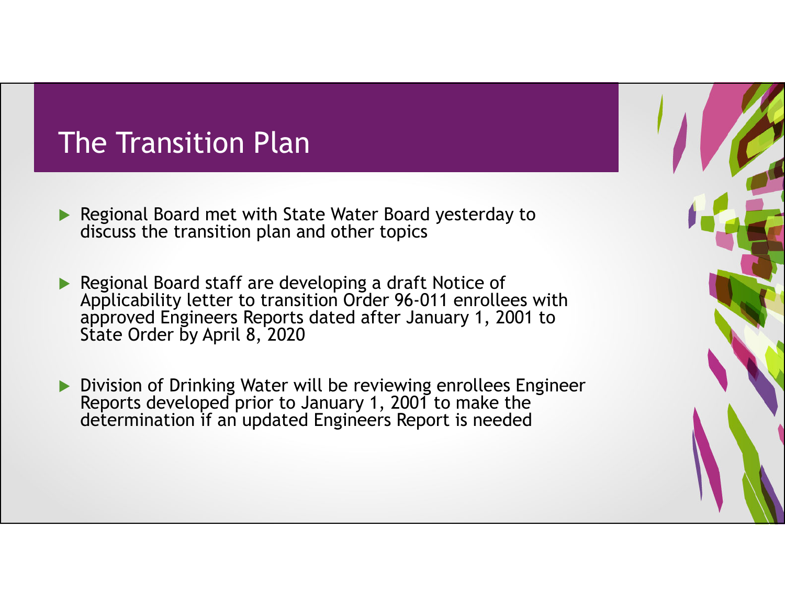## The Transition Plan

- ▶ Regional Board met with State Water Board yesterday to discuss the transition plan and other topics
- Regional Board staff are developing a draft Notice of Applicability letter to transition Order 96-011 enrollees with approved Engineers Reports dated after January 1, 2001 to State Order by April 8, 2020
- **Division of Drinking Water will be reviewing enrollees Engineer** Reports developed prior to January 1, 2001 to make the determination if an updated Engineers Report is needed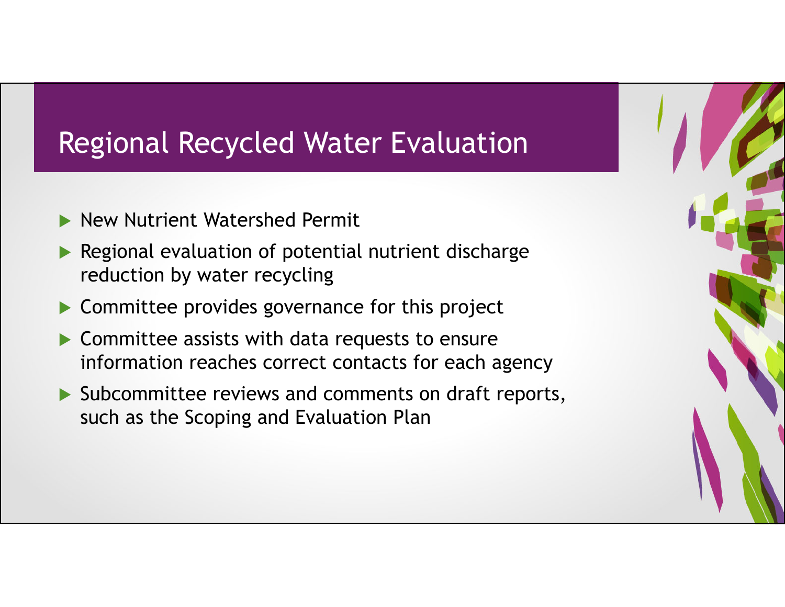## Regional Recycled Water Evaluation

- $\blacktriangleright$ New Nutrient Watershed Permit
- $\blacktriangleright$  Regional evaluation of potential nutrient discharge reduction by water recycling
- $\blacktriangleright$ Committee provides governance for this project
- $\blacktriangleright$  Committee assists with data requests to ensure information reaches correct contacts for each agency
- Subcommittee reviews and comments on draft reports, such as the Scoping and Evaluation Plan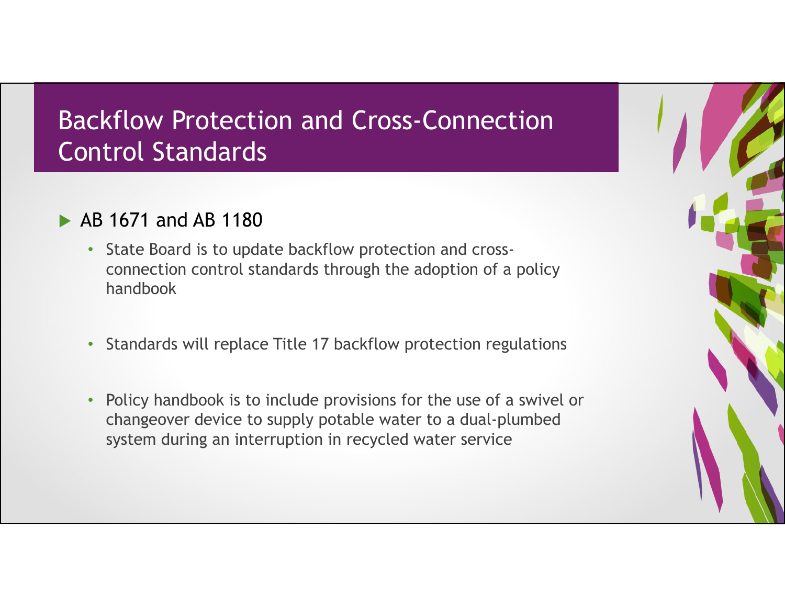#### Backflow Protection and Cross-Connection Control Standards

- AB 1671 and AB 1180
	- State Board is to update backflow protection and crossconnection control standards through the adoption of a policy handbook
	- Standards will replace Title 17 backflow protection regulations
	- • Policy handbook is to include provisions for the use of a swivel or changeover device to supply potable water to a dual-plumbed system during an interruption in recycled water service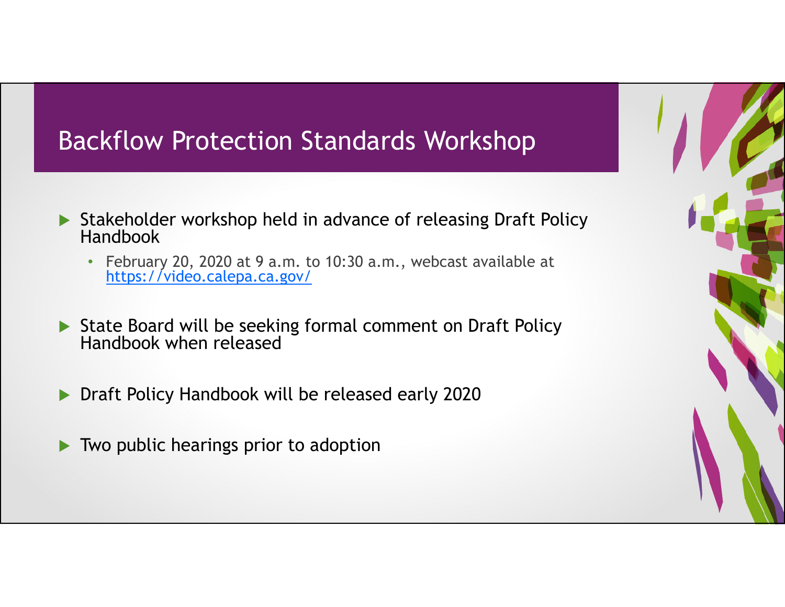#### Backflow Protection Standards Workshop

- Stakeholder workshop held in advance of releasing Draft Policy Handbook
	- February 20, 2020 at 9 a.m. to 10:30 a.m., webcast available at https://video.calepa.ca.gov/
- ▶ State Board will be seeking formal comment on Draft Policy Handbook when released
- **Draft Policy Handbook will be released early 2020**
- $\blacktriangleright$ Two public hearings prior to adoption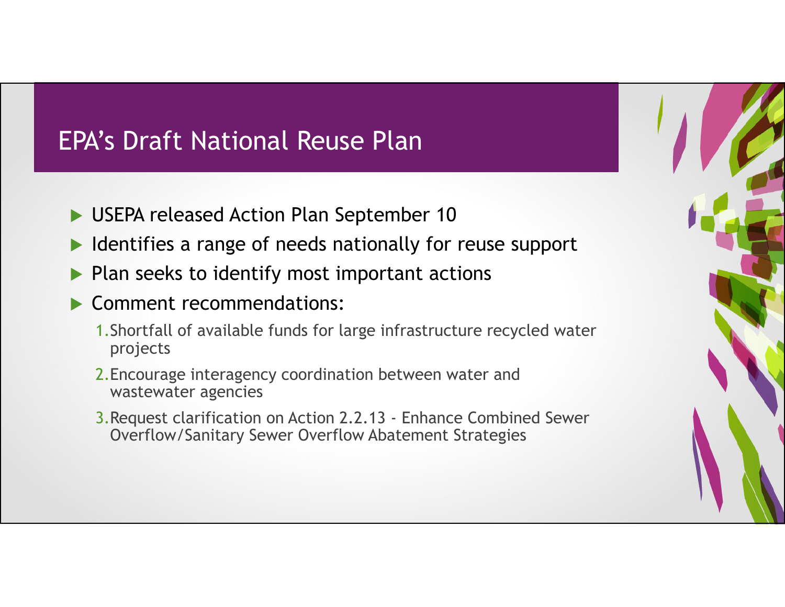#### EPA's Draft National Reuse Plan

- USEPA released Action Plan September 10
- $\blacktriangleright$ Identifies a range of needs nationally for reuse support
- $\blacktriangleright$ Plan seeks to identify most important actions
- Comment recommendations:
	- 1.Shortfall of available funds for large infrastructure recycled water projects
	- 2.Encourage interagency coordination between water and wastewater agencies
	- 3.Request clarification on Action 2.2.13 Enhance Combined Sewer Overflow/Sanitary Sewer Overflow Abatement Strategies

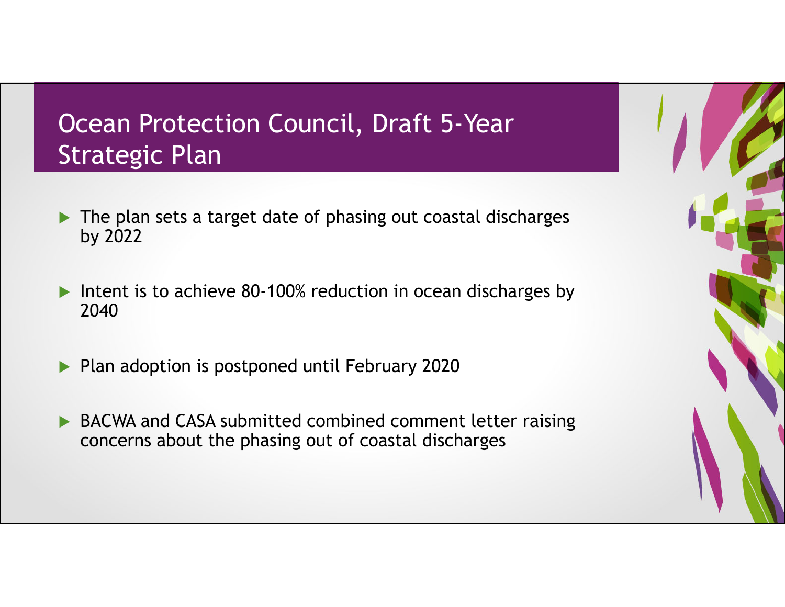### Ocean Protection Council, Draft 5-Year Strategic Plan

- The plan sets a target date of phasing out coastal discharges by 2022
- $\blacktriangleright$ Intent is to achieve 80-100% reduction in ocean discharges by 2040
- ▶ Plan adoption is postponed until February 2020
- ▶ BACWA and CASA submitted combined comment letter raising concerns about the phasing out of coastal discharges

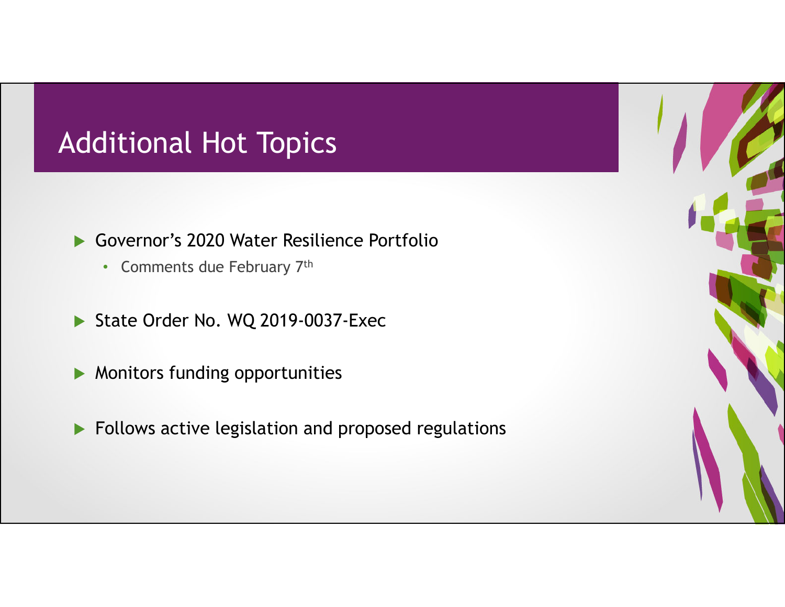## Additional Hot Topics

- Governor's 2020 Water Resilience Portfolio
	- Comments due February 7<sup>th</sup>
- State Order No. WQ 2019-0037-Exec
- **Monitors funding opportunities**
- **Follows active legislation and proposed regulations**